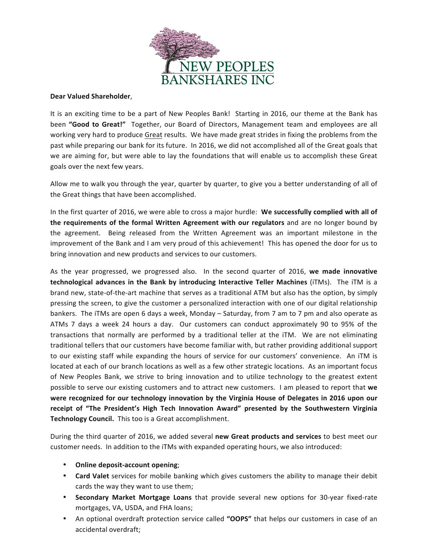

## **Dear Valued Shareholder**,

It is an exciting time to be a part of New Peoples Bank! Starting in 2016, our theme at the Bank has been **"Good to Great!"** Together, our Board of Directors, Management team and employees are all working very hard to produce <u>Great</u> results. We have made great strides in fixing the problems from the past while preparing our bank for its future. In 2016, we did not accomplished all of the Great goals that we are aiming for, but were able to lay the foundations that will enable us to accomplish these Great goals over the next few years.

Allow me to walk you through the year, quarter by quarter, to give you a better understanding of all of the Great things that have been accomplished.

In the first quarter of 2016, we were able to cross a major hurdle: **We successfully complied with all of** the requirements of the formal Written Agreement with our regulators and are no longer bound by the agreement. Being released from the Written Agreement was an important milestone in the<br>. approvement of the bank and I am very product this admerenter. This has opened the door for as to bring innovation and new products and services to our customers. improvement of the Bank and I am very proud of this achievement! This has opened the door for us to

As the year progressed, we progressed also. In the second quarter of 2016, we made innovative technological advances in the Bank by introducing Interactive Teller Machines (iTMs). The iTM is a brand new, state-of-the-art machine that serves as a traditional ATM but also has the option, by simply pressing the screen, to give the customer a personalized interaction with one of our digital relationship ATMs 7 days a week 24 hours a day. Our customers can conduct approximately 90 to 95% of the transactions that normally are performed by a traditional teller at the iTM. We are not eliminating traditional tellers that our customers have become familiar with, but rather providing additional support to our existing staff while expanding the hours of service for our customers' convenience. An iTM is located at each of our branch locations as well as a few other strategic locations. As an important focus of New Peoples Bank, we strive to bring innovation and to utilize technology to the greatest extent Possible to serve our existing castomers and to attract new castomers. Thin preased to report that we receipt of "The President's High Tech Innovation Award" presented by the Southwestern Virginia fuscipe of this resolution of mgm resolution from the reformed as a securities of the reformation of spinite  $\frac{1}{n}$ management's efforts to new loan problem problem assets will help us to reach our problem assets will help us to reach our problem assets with a set of the second state in the second state in the second state in the second bankers. The iTMs are open 6 days a week, Monday - Saturday, from 7 am to 7 pm and also operate as possible to serve our existing customers and to attract new customers. I am pleased to report that we were recognized for our technology innovation by the Virginia House of Delegates in 2016 upon our

During the third quarter of 2016, we added several new Great products and services to best meet our  $\mathbb{E}[\mathbf{e}_i] = \mathbf{e}_i$  improve as we move forward. We continue to engage our employees in  $\mathbf{e}_i$ customer needs. In addition to the iTMs with expanded operating hours, we also introduced:

- Online deposit-account opening; and see an entity of the bank and we have not all we have not all we have not an entity of the bank and we have not all we have not all we have not all we have not all we have not all we h
- Card Valet services for mobile banking which gives customers the ability to manage their debit cards the way they want to use them; and where we desire to be in the whole to be in the intervals of the intervals of the intervals of the intervals of the intervals of the intervals of the intervals of the intervals of t
- Secondary Market Mortgage Loans that provide several new options for 30-year fixed-rate mortgages, VA, USDA, and FHA loans;
	- An optional overdraft protection service called "OOPS" that helps our customers in case of an accidental overdraft;